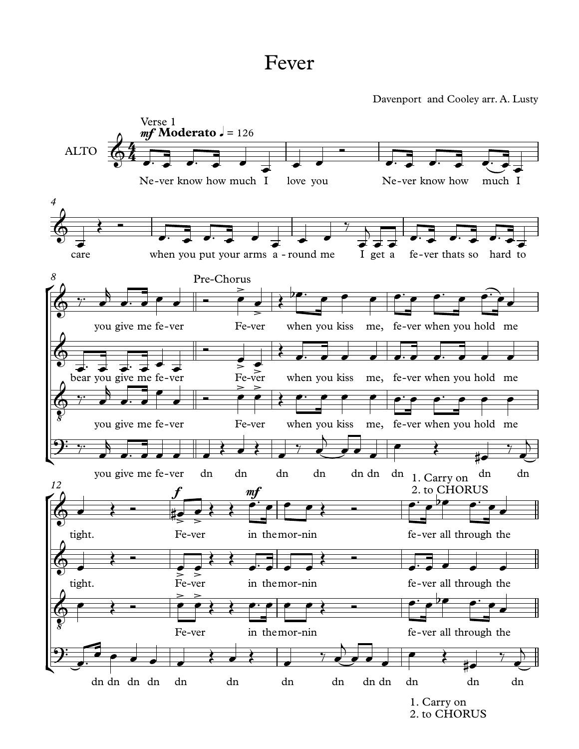## Fever

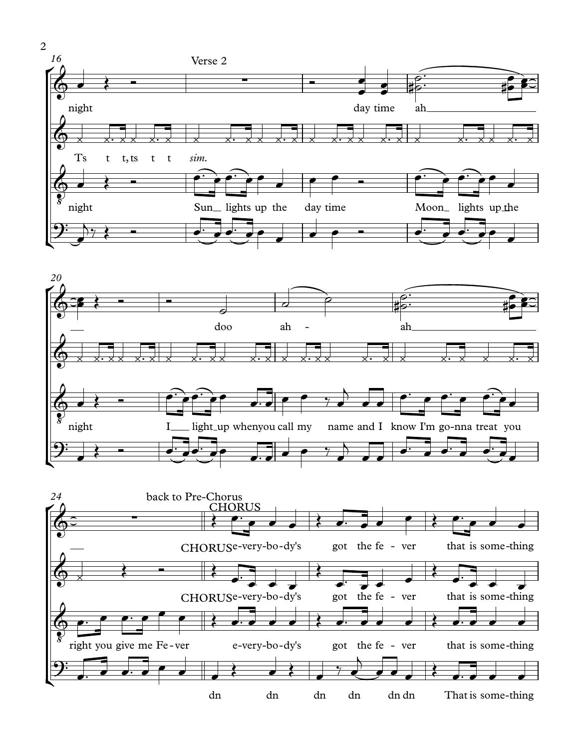



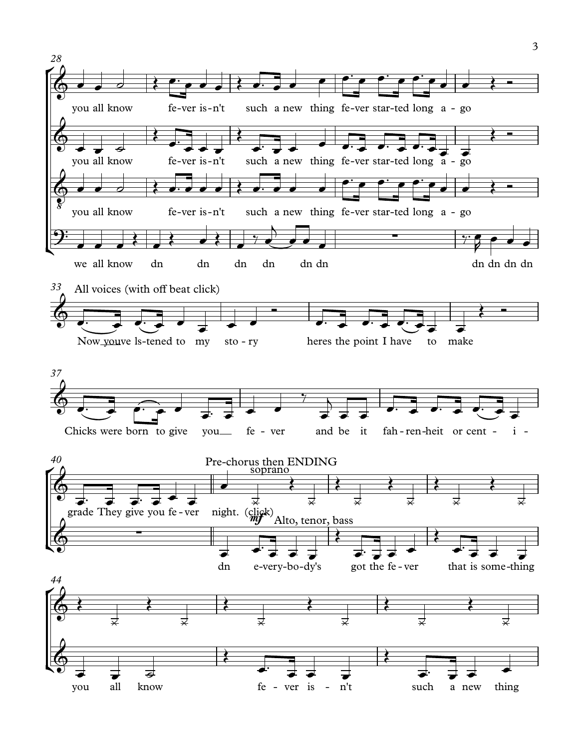